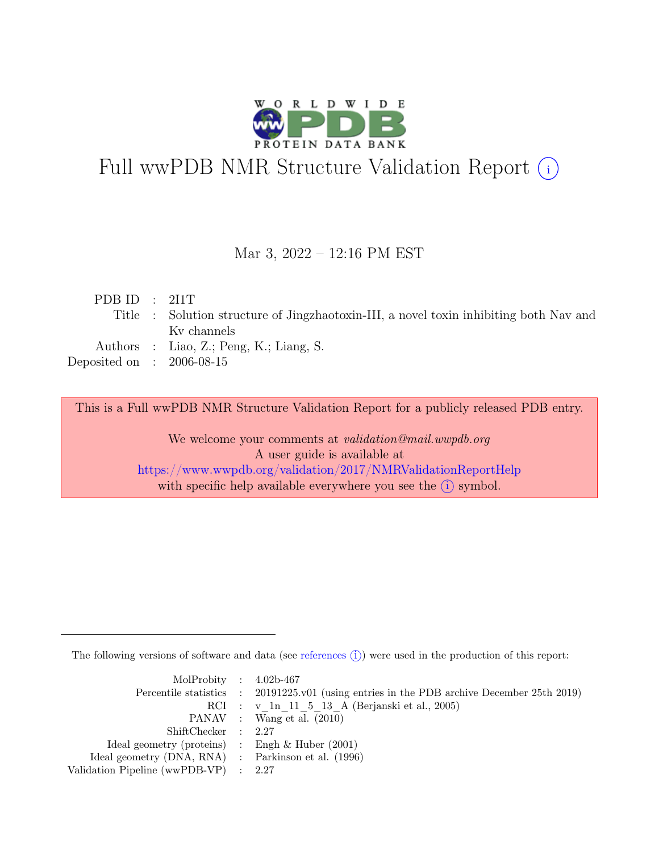

# Full wwPDB NMR Structure Validation Report (i)

#### Mar 3, 2022 – 12:16 PM EST

| PDBID : 2I1T                                                                           |
|----------------------------------------------------------------------------------------|
| Title : Solution structure of Jingzhaotoxin-III, a novel toxin inhibiting both Nav and |
| Ky channels                                                                            |
| Authors : Liao, Z.; Peng, K.; Liang, S.                                                |
| Deposited on : $2006-08-15$                                                            |
|                                                                                        |

This is a Full wwPDB NMR Structure Validation Report for a publicly released PDB entry.

We welcome your comments at *validation@mail.wwpdb.org* A user guide is available at <https://www.wwpdb.org/validation/2017/NMRValidationReportHelp> with specific help available everywhere you see the  $(i)$  symbol.

The following versions of software and data (see [references](https://www.wwpdb.org/validation/2017/NMRValidationReportHelp#references)  $\hat{I}$ ) were used in the production of this report:

| MolProbity : $4.02b-467$                            |                                                                                            |
|-----------------------------------------------------|--------------------------------------------------------------------------------------------|
|                                                     | Percentile statistics : 20191225.v01 (using entries in the PDB archive December 25th 2019) |
|                                                     | RCI : v 1n 11 5 13 A (Berjanski et al., 2005)                                              |
|                                                     | PANAV : Wang et al. (2010)                                                                 |
| ShiftChecker : 2.27                                 |                                                                                            |
| Ideal geometry (proteins) : Engh $\&$ Huber (2001)  |                                                                                            |
| Ideal geometry (DNA, RNA) : Parkinson et al. (1996) |                                                                                            |
| Validation Pipeline (wwPDB-VP) : $2.27$             |                                                                                            |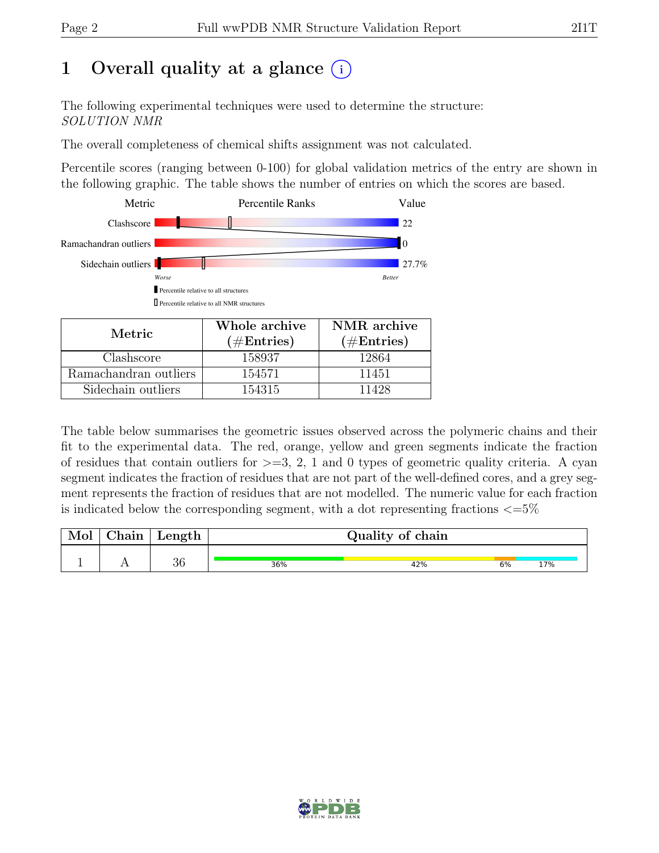## 1 Overall quality at a glance  $(i)$

The following experimental techniques were used to determine the structure: SOLUTION NMR

The overall completeness of chemical shifts assignment was not calculated.

Percentile scores (ranging between 0-100) for global validation metrics of the entry are shown in the following graphic. The table shows the number of entries on which the scores are based.



| 171671 1C             | $(\#Entries)$ | $(\#Entries)$ |
|-----------------------|---------------|---------------|
| Clashscore            | 158937        | 12864         |
| Ramachandran outliers | 154571        | 11451         |
| Sidechain outliers    | 154315        |               |
|                       |               |               |

The table below summarises the geometric issues observed across the polymeric chains and their fit to the experimental data. The red, orange, yellow and green segments indicate the fraction of residues that contain outliers for  $>=$  3, 2, 1 and 0 types of geometric quality criteria. A cyan segment indicates the fraction of residues that are not part of the well-defined cores, and a grey segment represents the fraction of residues that are not modelled. The numeric value for each fraction is indicated below the corresponding segment, with a dot representing fractions  $\langle=5\%$ 

| Mol | Chain | ' Length |     | Quality of chain |    |     |
|-----|-------|----------|-----|------------------|----|-----|
|     |       | $\Omega$ |     |                  |    |     |
|     |       | 50       | 36% | 42%              | 6% | 17% |

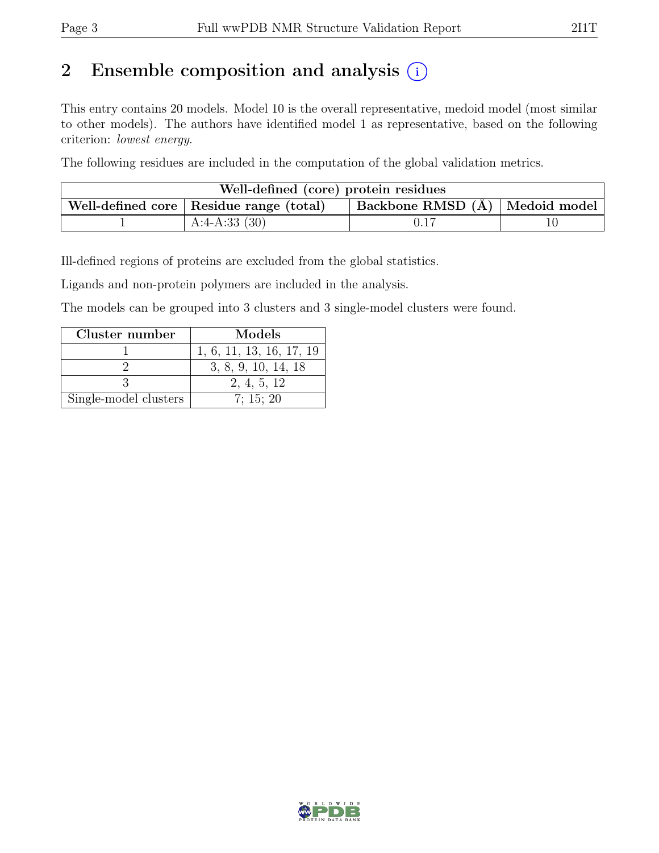## 2 Ensemble composition and analysis  $(i)$

This entry contains 20 models. Model 10 is the overall representative, medoid model (most similar to other models). The authors have identified model 1 as representative, based on the following criterion: lowest energy.

The following residues are included in the computation of the global validation metrics.

| Well-defined (core) protein residues                                            |                 |  |  |  |  |  |
|---------------------------------------------------------------------------------|-----------------|--|--|--|--|--|
| Backbone RMSD (Å)   Medoid model  <br>Well-defined core   Residue range (total) |                 |  |  |  |  |  |
|                                                                                 | A:4-A:33 $(30)$ |  |  |  |  |  |

Ill-defined regions of proteins are excluded from the global statistics.

Ligands and non-protein polymers are included in the analysis.

The models can be grouped into 3 clusters and 3 single-model clusters were found.

| Cluster number        | Models                   |
|-----------------------|--------------------------|
|                       | 1, 6, 11, 13, 16, 17, 19 |
|                       | 3, 8, 9, 10, 14, 18      |
|                       | 2, 4, 5, 12              |
| Single-model clusters | 7: 15: 20                |

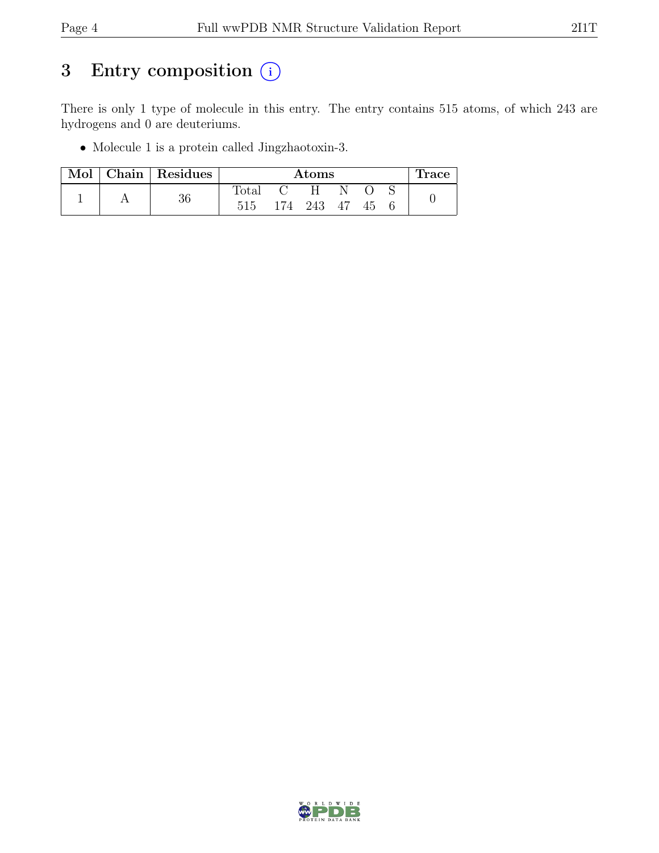## 3 Entry composition  $(i)$

There is only 1 type of molecule in this entry. The entry contains 515 atoms, of which 243 are hydrogens and 0 are deuteriums.

• Molecule 1 is a protein called Jingzhaotoxin-3.

| Mol |    | Chain Residues |  | $\rm{Atoms}$ |    |  |  |  | Trace |
|-----|----|----------------|--|--------------|----|--|--|--|-------|
|     | 36 | $_{\rm Total}$ |  | H            |    |  |  |  |       |
|     |    | 515            |  | 174 243      | 47 |  |  |  |       |

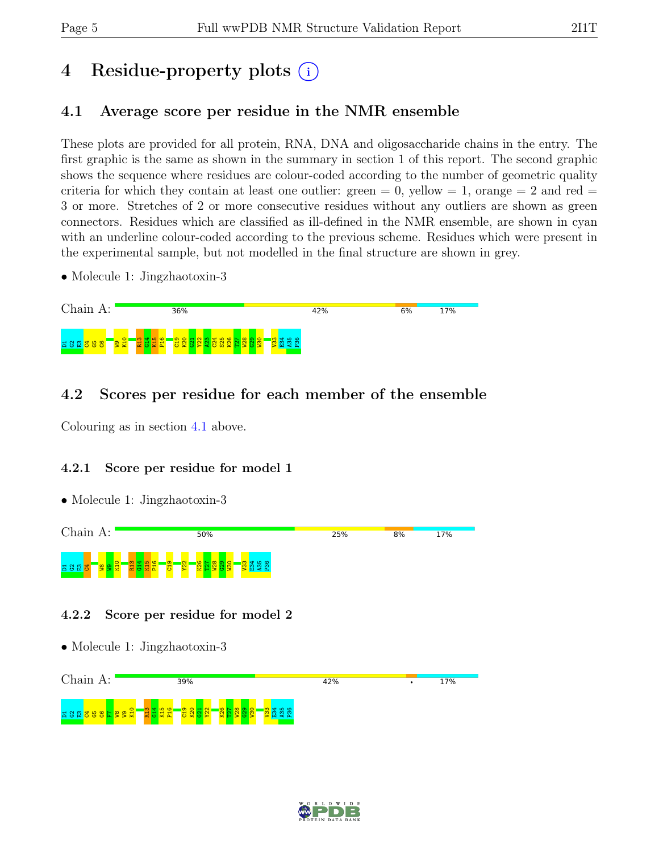## 4 Residue-property plots (i)

### <span id="page-4-0"></span>4.1 Average score per residue in the NMR ensemble

These plots are provided for all protein, RNA, DNA and oligosaccharide chains in the entry. The first graphic is the same as shown in the summary in section 1 of this report. The second graphic shows the sequence where residues are colour-coded according to the number of geometric quality criteria for which they contain at least one outlier:  $green = 0$ ,  $yellow = 1$ ,  $orange = 2$  and  $red =$ 3 or more. Stretches of 2 or more consecutive residues without any outliers are shown as green connectors. Residues which are classified as ill-defined in the NMR ensemble, are shown in cyan with an underline colour-coded according to the previous scheme. Residues which were present in the experimental sample, but not modelled in the final structure are shown in grey.

• Molecule 1: Jingzhaotoxin-3



### 4.2 Scores per residue for each member of the ensemble

Colouring as in section [4.1](#page-4-0) above.

#### 4.2.1 Score per residue for model 1

• Molecule 1: Jingzhaotoxin-3



#### 4.2.2 Score per residue for model 2

• Molecule 1: Jingzhaotoxin-3



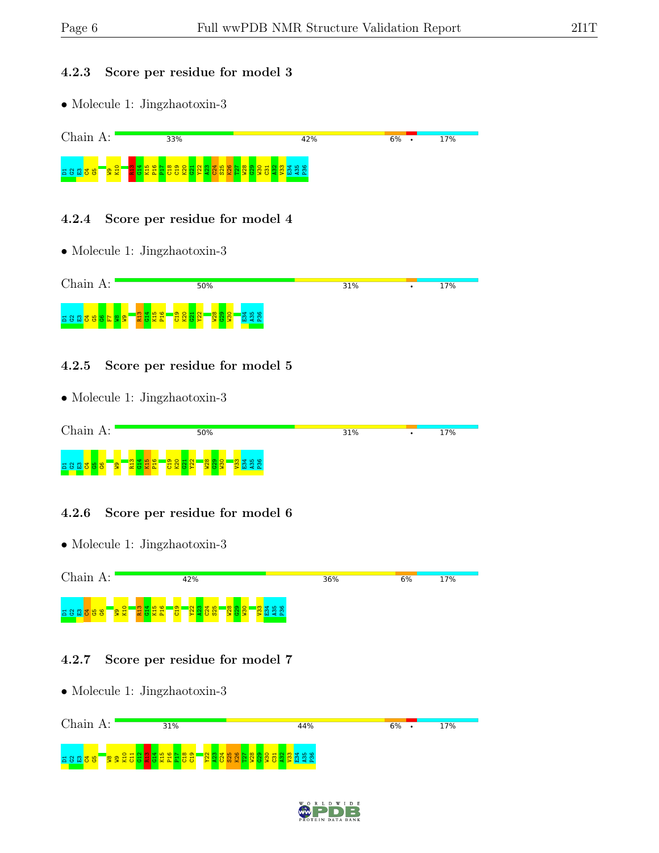#### 4.2.3 Score per residue for model 3

• Molecule 1: Jingzhaotoxin-3



#### 4.2.4 Score per residue for model 4

• Molecule 1: Jingzhaotoxin-3



#### 4.2.5 Score per residue for model 5

• Molecule 1: Jingzhaotoxin-3



#### 4.2.6 Score per residue for model 6

• Molecule 1: Jingzhaotoxin-3



#### 4.2.7 Score per residue for model 7



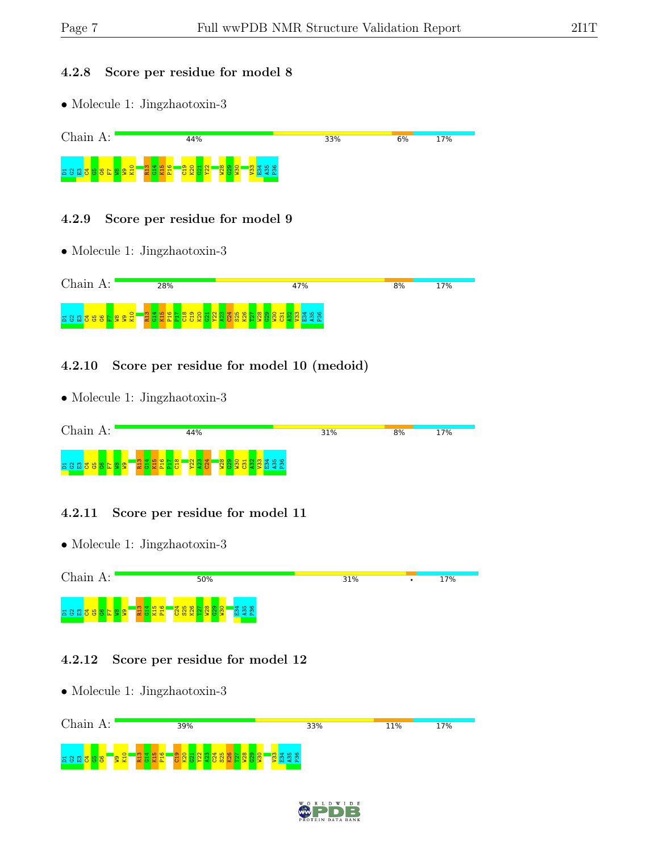#### 4.2.8 Score per residue for model 8

• Molecule 1: Jingzhaotoxin-3



#### 4.2.9 Score per residue for model 9

• Molecule 1: Jingzhaotoxin-3



#### 4.2.10 Score per residue for model 10 (medoid)

• Molecule 1: Jingzhaotoxin-3



#### 4.2.11 Score per residue for model 11

• Molecule 1: Jingzhaotoxin-3



#### 4.2.12 Score per residue for model 12

• Molecule 1: Jingzhaotoxin-3 Chain A: 39% 33% 11% 17%  $\frac{10}{2}$ R13  $\frac{4}{14}$ K15 P16  $\frac{9}{21}$  $\frac{80}{20}$  $\frac{1}{2}$  $\frac{22}{2}$  $\frac{23}{2}$  $24$  $\frac{25}{25}$ K26  $\frac{27}{2}$  $\frac{28}{1}$  $\frac{2}{3}$  $\frac{80}{2}$  $\frac{8}{3}$ E34 A35 P361365<mark>36</mark> <u>କ</u>ୁ

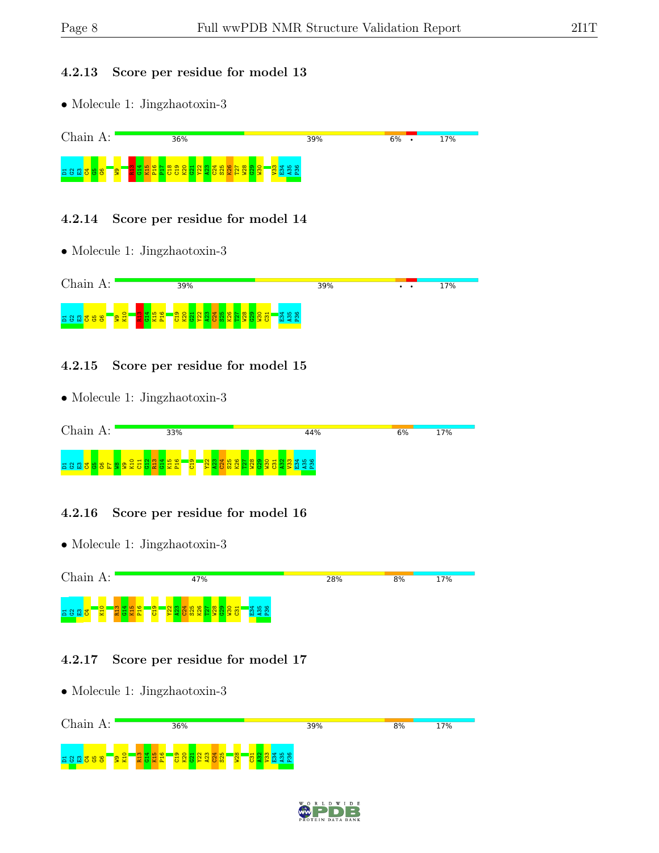#### 4.2.13 Score per residue for model 13

• Molecule 1: Jingzhaotoxin-3



#### 4.2.14 Score per residue for model 14

• Molecule 1: Jingzhaotoxin-3



#### 4.2.15 Score per residue for model 15

• Molecule 1: Jingzhaotoxin-3



#### 4.2.16 Score per residue for model 16

• Molecule 1: Jingzhaotoxin-3 Chain A: 47% 28%  $8%$ 17% ដ ន ឩ <mark>៵ ៑ ៑ ៑ ៑</mark>្ជ R13  $\frac{4}{14}$ K15 P16  $\frac{9}{5}$  $\frac{22}{2}$  $\frac{23}{2}$  $\frac{64}{24}$  $\frac{5}{25}$  $\frac{8}{2}$  $\frac{57}{2}$  $\frac{8}{1}$  $\frac{8}{3}$  $\frac{8}{5}$  $\frac{1}{2}$  $\mathbb{E}^4$ A35 P36

#### 4.2.17 Score per residue for model 17

• Molecule 1: Jingzhaotoxin-3 Chain A: 36% 39%  $8%$ 17%  $\frac{10}{2}$ R13  $\frac{4}{14}$ K15 P16  $\frac{9}{21}$  $\frac{80}{20}$  $\frac{1}{2}$  $\frac{22}{2}$  $\frac{23}{2}$  $\frac{24}{2}$ S25  $\frac{28}{1}$  $\frac{51}{2}$  $\frac{2}{3}$  $\frac{13}{2}$ E34 A35 P36 $\frac{3}{5}$   $\frac{2}{5}$   $\frac{6}{5}$   $\frac{6}{5}$ <u>କ</u>ୁ

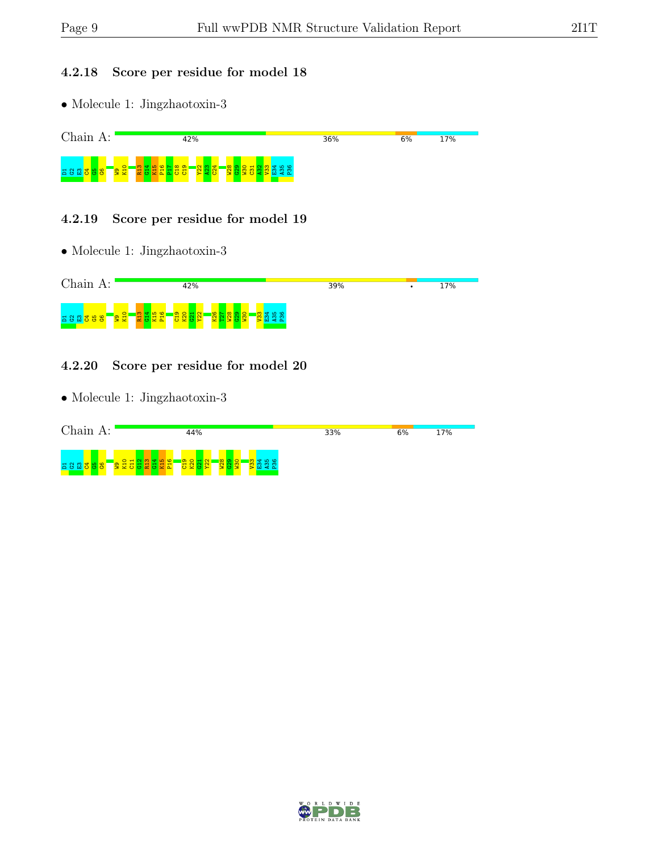#### 4.2.18 Score per residue for model 18

 $\bullet$  Molecule 1: Jingzhaotoxin-3



#### 4.2.19 Score per residue for model 19

• Molecule 1: Jingzhaotoxin-3



#### 4.2.20 Score per residue for model 20

• Molecule 1: Jingzhaotoxin-3



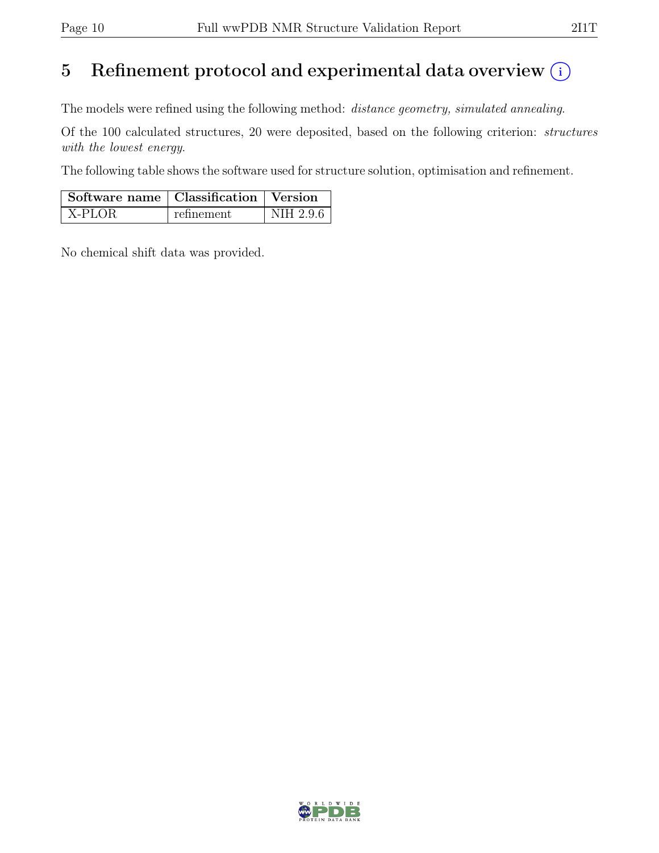## 5 Refinement protocol and experimental data overview  $(i)$

The models were refined using the following method: distance geometry, simulated annealing.

Of the 100 calculated structures, 20 were deposited, based on the following criterion: structures with the lowest energy.

The following table shows the software used for structure solution, optimisation and refinement.

| Software name   Classification   Version |            |           |  |
|------------------------------------------|------------|-----------|--|
| X-PLOR                                   | refinement | NIH 2.9.6 |  |

No chemical shift data was provided.

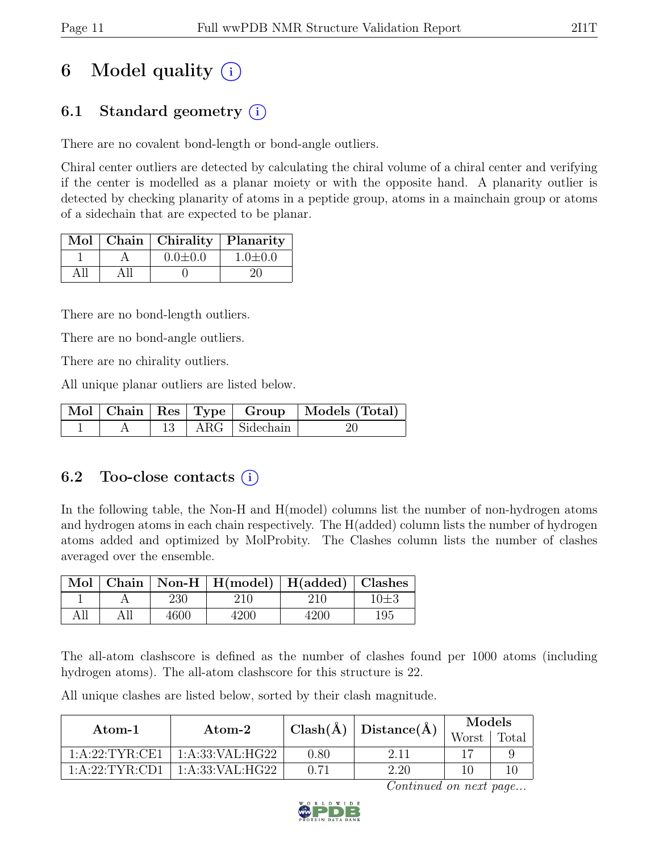# 6 Model quality  $(i)$

## 6.1 Standard geometry (i)

There are no covalent bond-length or bond-angle outliers.

Chiral center outliers are detected by calculating the chiral volume of a chiral center and verifying if the center is modelled as a planar moiety or with the opposite hand. A planarity outlier is detected by checking planarity of atoms in a peptide group, atoms in a mainchain group or atoms of a sidechain that are expected to be planar.

|  | Mol   Chain   Chirality   Planarity |               |
|--|-------------------------------------|---------------|
|  | $0.0 \pm 0.0$                       | $1.0 \pm 0.0$ |
|  |                                     | 21            |

There are no bond-length outliers.

There are no bond-angle outliers.

There are no chirality outliers.

All unique planar outliers are listed below.

|  |  |                        | Mol Chain Res Type Group Models (Total) |
|--|--|------------------------|-----------------------------------------|
|  |  | $13$   ARG   Sidechain |                                         |

### 6.2 Too-close contacts  $(i)$

In the following table, the Non-H and H(model) columns list the number of non-hydrogen atoms and hydrogen atoms in each chain respectively. The H(added) column lists the number of hydrogen atoms added and optimized by MolProbity. The Clashes column lists the number of clashes averaged over the ensemble.

| Mol |      | Chain   Non-H   $H$ (model)   $H$ (added)   Clashes |      |          |
|-----|------|-----------------------------------------------------|------|----------|
|     | 230  | 210                                                 | 210  | $10\pm3$ |
| All | 4600 | 1200                                                | 4200 | 195      |

The all-atom clashscore is defined as the number of clashes found per 1000 atoms (including hydrogen atoms). The all-atom clashscore for this structure is 22.

All unique clashes are listed below, sorted by their clash magnitude.

| Atom-1          | Atom-2          |      | $\text{Clash}(\AA)   \text{Distance}(\AA)$ | Models |       |  |
|-----------------|-----------------|------|--------------------------------------------|--------|-------|--|
|                 |                 |      |                                            | Worst  | Total |  |
| 1:A:22:TYR:CE1  | 1:A:33:VAL:HG22 | 0.80 | 2.11                                       |        |       |  |
| 1: A:22:TYR:CD1 | 1:A:33:VAL:HG22 | 0.71 | 2.20                                       | l C    |       |  |

Continued on next page...

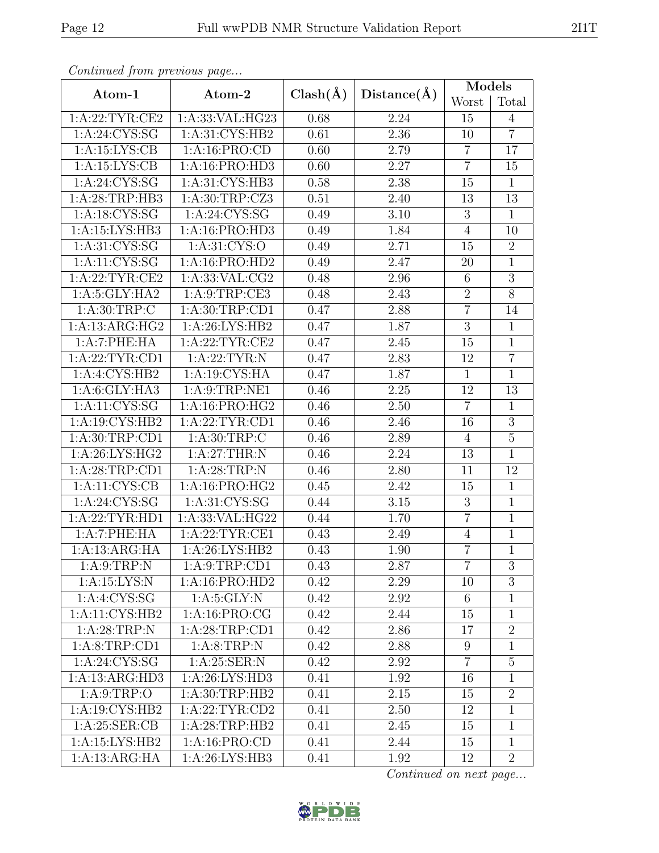| sheehaad ji siil piiseestas paguin |                   |              |             | Models           |                 |  |
|------------------------------------|-------------------|--------------|-------------|------------------|-----------------|--|
| Atom-1                             | Atom-2            | $Clash(\AA)$ | Distance(A) | Worst            | Total           |  |
| 1: A:22:TYR:CE2                    | 1:A:33:VAL:HG23   | 0.68         | 2.24        | 15               | $\overline{4}$  |  |
| 1: A:24: CYS:SG                    | 1: A:31: CYS:HB2  | 0.61         | 2.36        | 10               | $\overline{7}$  |  |
| $1:A:15:\overline{\text{LYS:CB}}$  | 1: A: 16: PRO: CD | 0.60         | 2.79        | $\overline{7}$   | 17              |  |
| 1:A:15:LYS:CB                      | 1:A:16:PRO:HD3    | 0.60         | 2.27        | $\overline{7}$   | 15              |  |
| 1: A:24: CYS:SG                    | 1:A:31:CYS:HB3    | 0.58         | 2.38        | 15               | $\mathbf{1}$    |  |
| 1:A:28:TRP:HB3                     | 1:A:30:TRP:CZ3    | 0.51         | 2.40        | 13               | 13              |  |
| 1: A: 18: CYS: SG                  | 1: A:24: CYS:SG   | 0.49         | 3.10        | $\overline{3}$   | $\mathbf{1}$    |  |
| 1:A:15:LYS:HB3                     | 1:A:16:PRO:HD3    | 0.49         | 1.84        | $\overline{4}$   | 10              |  |
| 1: A:31: CYS:SG                    | 1: A:31: CYS:O    | 0.49         | 2.71        | 15               | $\overline{2}$  |  |
| 1: A: 11: CYS: SG                  | 1:A:16:PRO:HD2    | 0.49         | 2.47        | 20               | $\mathbf{1}$    |  |
| 1: A:22:TYR:CE2                    | 1:A:33:VAL:CG2    | 0.48         | 2.96        | $6\,$            | $\overline{3}$  |  |
| 1: A:5: GLY: HA2                   | 1: A:9:TRP:CE3    | 0.48         | 2.43        | $\sqrt{2}$       | 8               |  |
| 1: A:30:TRP:C                      | 1: A:30:TRP:CD1   | 0.47         | 2.88        | $\overline{7}$   | 14              |  |
| 1:A:13:ARG:HG2                     | 1: A:26: LYS: HB2 | 0.47         | 1.87        | 3                | $\mathbf{1}$    |  |
| 1:A:7:PHE:HA                       | 1:A:22:TYR:CE2    | 0.47         | 2.45        | 15               | $\mathbf{1}$    |  |
| 1:A:22:TYR:CD1                     | 1:A:22:TYR:N      | 0.47         | 2.83        | 12               | $\overline{7}$  |  |
| 1: A:4: CYS:HB2                    | 1:A:19:CYS:HA     | 0.47         | 1.87        | $\mathbf{1}$     | $\mathbf{1}$    |  |
| 1: A:6: GLY: HA3                   | 1: A:9:TRP:NE1    | 0.46         | 2.25        | 12               | $\overline{13}$ |  |
| 1:A:11:CYS:SG                      | 1:A:16:PRO:HG2    | 0.46         | 2.50        | $\overline{7}$   | $\mathbf{1}$    |  |
| 1:A:19:CYS:HB2                     | 1: A:22:TYR:CD1   | 0.46         | 2.46        | 16               | $\overline{3}$  |  |
| 1: A:30:TRP:CD1                    | 1: A:30:TRP:C     | 0.46         | 2.89        | $\overline{4}$   | $\overline{5}$  |  |
| 1:A:26:LYS:HG2                     | 1:A:27:THR:N      | 0.46         | 2.24        | 13               | $\overline{1}$  |  |
| 1:A:28:TRP:CD1                     | 1: A:28:TRP:N     | 0.46         | 2.80        | 11               | 12              |  |
| 1:A:11:CYS:CB                      | 1:A:16:PRO:HG2    | 0.45         | 2.42        | 15               | $\mathbf{1}$    |  |
| 1: A:24: CYS:SG                    | 1: A:31: CYS:SG   | 0.44         | 3.15        | $\boldsymbol{3}$ | $\mathbf{1}$    |  |
| 1: A:22:TYR:HD1                    | 1:A:33:VAL:HG22   | 0.44         | 1.70        | $\overline{7}$   | $\overline{1}$  |  |
| 1:A:7:PHE:HA                       | 1: A:22:TYR:CE1   | 0.43         | 2.49        | $\overline{4}$   | $\mathbf{1}$    |  |
| 1:A:13:ARG:HA                      | 1: A:26: LYS: HB2 | 0.43         | 1.90        | $\overline{7}$   | $\overline{1}$  |  |
| 1: A:9:TRP:N                       | 1: A:9:TRP:CD1    | 0.43         | 2.87        | $\overline{7}$   | 3               |  |
| 1:A:15:LYS:N                       | 1:A:16:PRO:HD2    | 0.42         | 2.29        | 10               | 3               |  |
| 1: A:4: CYS:SG                     | 1: A:5: GLY:N     | 0.42         | 2.92        | 6                | $\mathbf{1}$    |  |
| $1:$ A:11:CYS:HB2                  | 1: A:16: PRO:CG   | 0.42         | 2.44        | 15               | $\mathbf{1}$    |  |
| 1: A:28:TRP:N                      | 1:A:28:TRP:CD1    | 0.42         | 2.86        | 17               | $\overline{2}$  |  |
| 1: A:8:TRP:CD1                     | 1: A:8:TRP:N      | 0.42         | 2.88        | 9                | $\mathbf{1}$    |  |
| 1: A:24: CYS:SG                    | 1: A:25:SER:N     | 0.42         | 2.92        | $\overline{7}$   | $\overline{5}$  |  |
| 1:A:13:ARG:HD3                     | 1:A:26:LYS:HD3    | 0.41         | 1.92        | 16               | $\mathbf{1}$    |  |
| 1: A:9:TRP:O                       | 1: A:30:TRP:HB2   | 0.41         | 2.15        | 15               | $\overline{2}$  |  |
| 1:A:19:CYS:HB2                     | 1: A:22:TYR:CD2   | 0.41         | 2.50        | 12               | $\mathbf{1}$    |  |
| 1: A:25: SER:CB                    | 1: A:28:TRP:HB2   | 0.41         | 2.45        | 15               | $\mathbf{1}$    |  |
| 1:A:15:LYS:HB2                     | 1: A: 16: PRO: CD | 0.41         | 2.44        | 15               | $\mathbf{1}$    |  |
| 1:A:13:ARG:HA                      | 1:A:26:LYS:HB3    | 0.41         | 1.92        | 12               | $\overline{2}$  |  |

Continued from previous page.

Continued on next page...

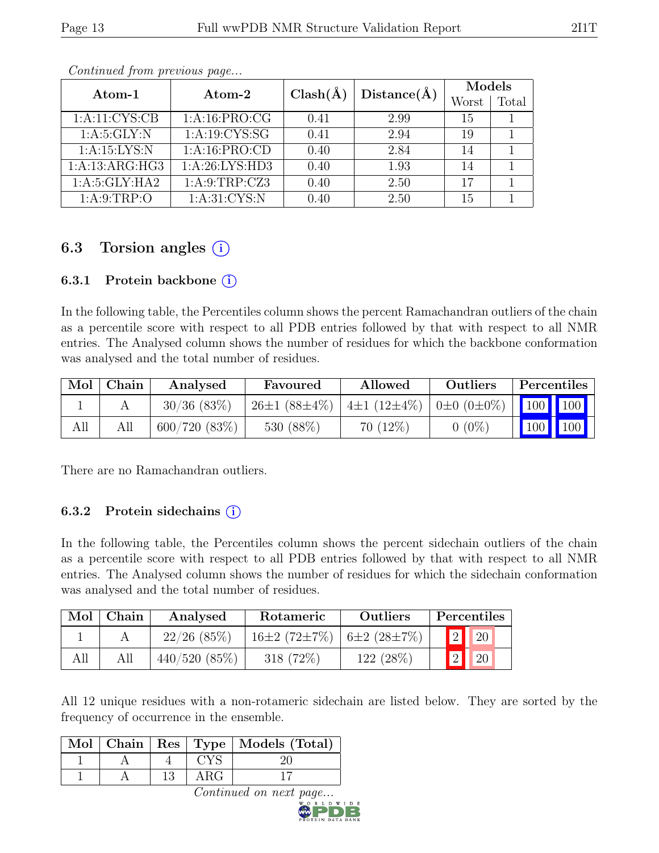| Atom-1           | Atom-2            | $Clash(\AA)$ | Distance(A) | Models |       |
|------------------|-------------------|--------------|-------------|--------|-------|
|                  |                   |              |             | Worst  | Total |
| 1:A:11:CYS:CB    | 1:A:16:PRO:CG     | 0.41         | 2.99        | 15     |       |
| 1: A:5: GLY: N   | 1: A: 19: CYS: SG | 0.41         | 2.94        | 19     |       |
| 1:A:15:LYS:N     | 1:A:16:PRO:CD     | 0.40         | 2.84        | 14     |       |
| 1:A:13:ARG:HG3   | 1:A:26:LYS:HD3    | 0.40         | 1.93        | 14     |       |
| 1: A:5: GLY: HA2 | 1: A:9:TRP: CZ3   | 0.40         | 2.50        | 17     |       |
| 1: A:9:TRP:O     | 1: A:31: CYS:N    | 0.40         | 2.50        | 15     |       |

Continued from previous page...

## 6.3 Torsion angles  $(i)$

#### 6.3.1 Protein backbone  $(i)$

In the following table, the Percentiles column shows the percent Ramachandran outliers of the chain as a percentile score with respect to all PDB entries followed by that with respect to all NMR entries. The Analysed column shows the number of residues for which the backbone conformation was analysed and the total number of residues.

| Mol | Chain | Analysed       | Favoured           | Allowed                                         | Outliers | Percentiles                                                  |  |
|-----|-------|----------------|--------------------|-------------------------------------------------|----------|--------------------------------------------------------------|--|
|     |       | $30/36$ (83\%) | $26\pm1(88\pm4\%)$ | $4\pm1$ (12 $\pm4\%$ )   0 $\pm0$ (0 $\pm0\%$ ) |          | $\begin{array}{ c c c c c }\n\hline\n100 & 100\n\end{array}$ |  |
| All |       | 600/720(83%)   | 530 (88\%)         | $70(12\%)$                                      | $0(0\%)$ | $100$ 100                                                    |  |

There are no Ramachandran outliers.

#### 6.3.2 Protein sidechains  $(i)$

In the following table, the Percentiles column shows the percent sidechain outliers of the chain as a percentile score with respect to all PDB entries followed by that with respect to all NMR entries. The Analysed column shows the number of residues for which the sidechain conformation was analysed and the total number of residues.

| Mol | Chain | Analysed       | Rotameric                                         | Outliers    |   | Percentiles |
|-----|-------|----------------|---------------------------------------------------|-------------|---|-------------|
|     |       | $22/26$ (85\%) | $16\pm2$ (72 $\pm7\%$ )   6 $\pm2$ (28 $\pm7\%$ ) |             | 2 | 20          |
| All |       | 440/520(85%)   | 318 (72\%)                                        | $122(28\%)$ |   | 20          |

All 12 unique residues with a non-rotameric sidechain are listed below. They are sorted by the frequency of occurrence in the ensemble.

|  |  | Mol   Chain   Res   Type   Models $\overline{(Total)}$ |
|--|--|--------------------------------------------------------|
|  |  |                                                        |
|  |  |                                                        |

Continued on next page.

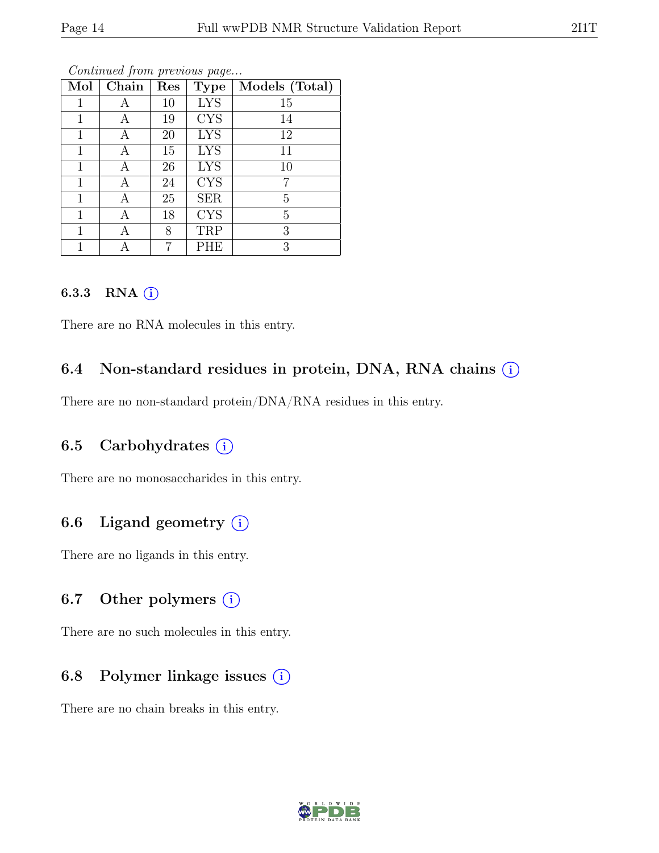| Mol | Chain | Res | <b>Type</b> | Models (Total) |
|-----|-------|-----|-------------|----------------|
| 1   | А     | 10  | <b>LYS</b>  | 15             |
| 1   | А     | 19  | <b>CYS</b>  | 14             |
|     | А     | 20  | <b>LYS</b>  | 12             |
| 1   | Α     | 15  | <b>LYS</b>  | 11             |
|     | А     | 26  | <b>LYS</b>  | 10             |
| 1   | А     | 24  | <b>CYS</b>  | 7              |
| 1   | А     | 25  | <b>SER</b>  | 5              |
|     | Α     | 18  | <b>CYS</b>  | 5              |
|     |       | 8   | TRP         | 3              |
|     |       |     | PHE         | 3              |

Continued from previous page...

#### 6.3.3 RNA  $(i)$

There are no RNA molecules in this entry.

### 6.4 Non-standard residues in protein, DNA, RNA chains  $(i)$

There are no non-standard protein/DNA/RNA residues in this entry.

#### 6.5 Carbohydrates  $(i)$

There are no monosaccharides in this entry.

### 6.6 Ligand geometry  $(i)$

There are no ligands in this entry.

#### 6.7 Other polymers  $(i)$

There are no such molecules in this entry.

#### 6.8 Polymer linkage issues  $(i)$

There are no chain breaks in this entry.